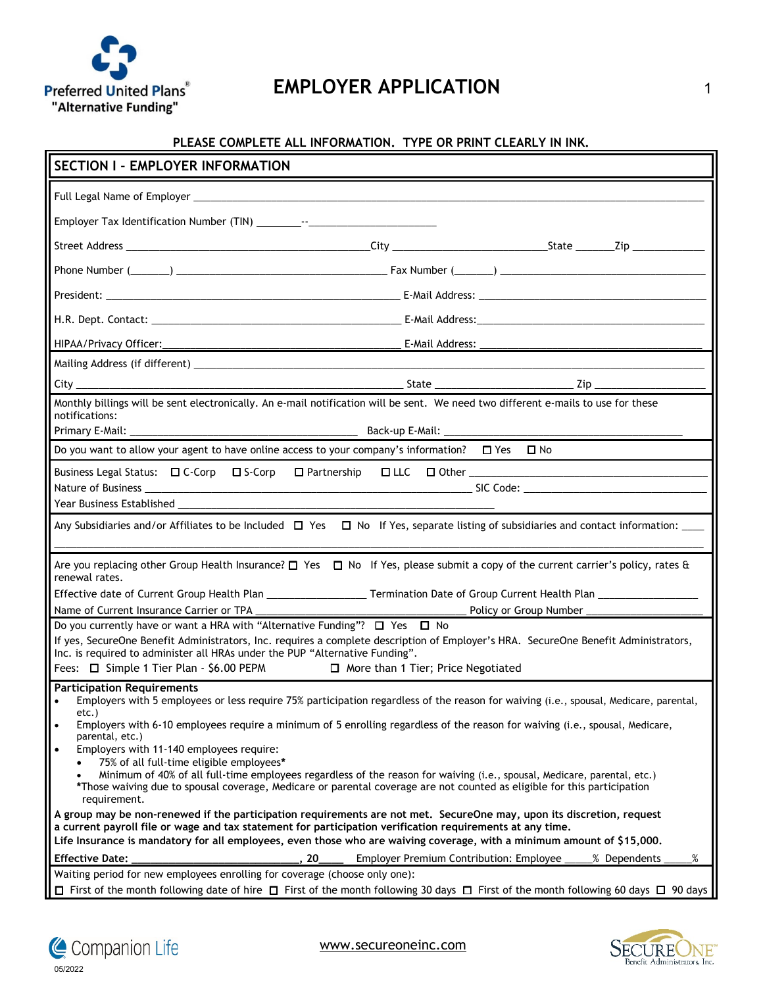

05/2022

Companion Life

## **PLEASE COMPLETE ALL INFORMATION. TYPE OR PRINT CLEARLY IN INK.**

| <b>SECTION I - EMPLOYER INFORMATION</b>                                                                                                                                                                                                                                                                                                                                                                                                                                                                                                                                                                                                                                                                                                                                                                                               |                                                                     |  |
|---------------------------------------------------------------------------------------------------------------------------------------------------------------------------------------------------------------------------------------------------------------------------------------------------------------------------------------------------------------------------------------------------------------------------------------------------------------------------------------------------------------------------------------------------------------------------------------------------------------------------------------------------------------------------------------------------------------------------------------------------------------------------------------------------------------------------------------|---------------------------------------------------------------------|--|
|                                                                                                                                                                                                                                                                                                                                                                                                                                                                                                                                                                                                                                                                                                                                                                                                                                       |                                                                     |  |
|                                                                                                                                                                                                                                                                                                                                                                                                                                                                                                                                                                                                                                                                                                                                                                                                                                       |                                                                     |  |
|                                                                                                                                                                                                                                                                                                                                                                                                                                                                                                                                                                                                                                                                                                                                                                                                                                       |                                                                     |  |
|                                                                                                                                                                                                                                                                                                                                                                                                                                                                                                                                                                                                                                                                                                                                                                                                                                       |                                                                     |  |
|                                                                                                                                                                                                                                                                                                                                                                                                                                                                                                                                                                                                                                                                                                                                                                                                                                       |                                                                     |  |
|                                                                                                                                                                                                                                                                                                                                                                                                                                                                                                                                                                                                                                                                                                                                                                                                                                       |                                                                     |  |
|                                                                                                                                                                                                                                                                                                                                                                                                                                                                                                                                                                                                                                                                                                                                                                                                                                       |                                                                     |  |
|                                                                                                                                                                                                                                                                                                                                                                                                                                                                                                                                                                                                                                                                                                                                                                                                                                       |                                                                     |  |
|                                                                                                                                                                                                                                                                                                                                                                                                                                                                                                                                                                                                                                                                                                                                                                                                                                       |                                                                     |  |
| Monthly billings will be sent electronically. An e-mail notification will be sent. We need two different e-mails to use for these<br>notifications:                                                                                                                                                                                                                                                                                                                                                                                                                                                                                                                                                                                                                                                                                   |                                                                     |  |
| Do you want to allow your agent to have online access to your company's information? $\Box$ Yes $\Box$ No                                                                                                                                                                                                                                                                                                                                                                                                                                                                                                                                                                                                                                                                                                                             |                                                                     |  |
|                                                                                                                                                                                                                                                                                                                                                                                                                                                                                                                                                                                                                                                                                                                                                                                                                                       |                                                                     |  |
|                                                                                                                                                                                                                                                                                                                                                                                                                                                                                                                                                                                                                                                                                                                                                                                                                                       |                                                                     |  |
|                                                                                                                                                                                                                                                                                                                                                                                                                                                                                                                                                                                                                                                                                                                                                                                                                                       |                                                                     |  |
| Any Subsidiaries and/or Affiliates to be Included $\Box$ Yes $\Box$ No If Yes, separate listing of subsidiaries and contact information: ____                                                                                                                                                                                                                                                                                                                                                                                                                                                                                                                                                                                                                                                                                         |                                                                     |  |
| Are you replacing other Group Health Insurance? $\Box$ Yes $\Box$ No If Yes, please submit a copy of the current carrier's policy, rates &<br>renewal rates.                                                                                                                                                                                                                                                                                                                                                                                                                                                                                                                                                                                                                                                                          |                                                                     |  |
|                                                                                                                                                                                                                                                                                                                                                                                                                                                                                                                                                                                                                                                                                                                                                                                                                                       |                                                                     |  |
| Name of Current Insurance Carrier or TPA                                                                                                                                                                                                                                                                                                                                                                                                                                                                                                                                                                                                                                                                                                                                                                                              |                                                                     |  |
| Do you currently have or want a HRA with "Alternative Funding"? $\Box$ Yes $\Box$ No<br>If yes, SecureOne Benefit Administrators, Inc. requires a complete description of Employer's HRA. SecureOne Benefit Administrators,<br>Inc. is required to administer all HRAs under the PUP "Alternative Funding".<br>Fees: □ Simple 1 Tier Plan - \$6.00 PEPM □ More than 1 Tier; Price Negotiated                                                                                                                                                                                                                                                                                                                                                                                                                                          |                                                                     |  |
| <b>Participation Requirements</b><br>Employers with 5 employees or less require 75% participation regardless of the reason for waiving (i.e., spousal, Medicare, parental,<br>etc.)<br>Employers with 6-10 employees require a minimum of 5 enrolling regardless of the reason for waiving (i.e., spousal, Medicare,<br>٠<br>parental, etc.)<br>Employers with 11-140 employees require:<br>75% of all full-time eligible employees*<br>Minimum of 40% of all full-time employees regardless of the reason for waiving (i.e., spousal, Medicare, parental, etc.)<br>*Those waiving due to spousal coverage, Medicare or parental coverage are not counted as eligible for this participation<br>requirement.<br>A group may be non-renewed if the participation requirements are not met. SecureOne may, upon its discretion, request |                                                                     |  |
| a current payroll file or wage and tax statement for participation verification requirements at any time.<br>Life Insurance is mandatory for all employees, even those who are waiving coverage, with a minimum amount of \$15,000.                                                                                                                                                                                                                                                                                                                                                                                                                                                                                                                                                                                                   |                                                                     |  |
| <b>Effective Date:</b><br>20                                                                                                                                                                                                                                                                                                                                                                                                                                                                                                                                                                                                                                                                                                                                                                                                          | %<br><b>Employer Premium Contribution: Employee</b><br>% Dependents |  |
| Waiting period for new employees enrolling for coverage (choose only one):                                                                                                                                                                                                                                                                                                                                                                                                                                                                                                                                                                                                                                                                                                                                                            |                                                                     |  |
| $\Box$ First of the month following date of hire $\Box$ First of the month following 30 days $\Box$ First of the month following 60 days $\Box$ 90 days                                                                                                                                                                                                                                                                                                                                                                                                                                                                                                                                                                                                                                                                               |                                                                     |  |



www.secureoneinc.com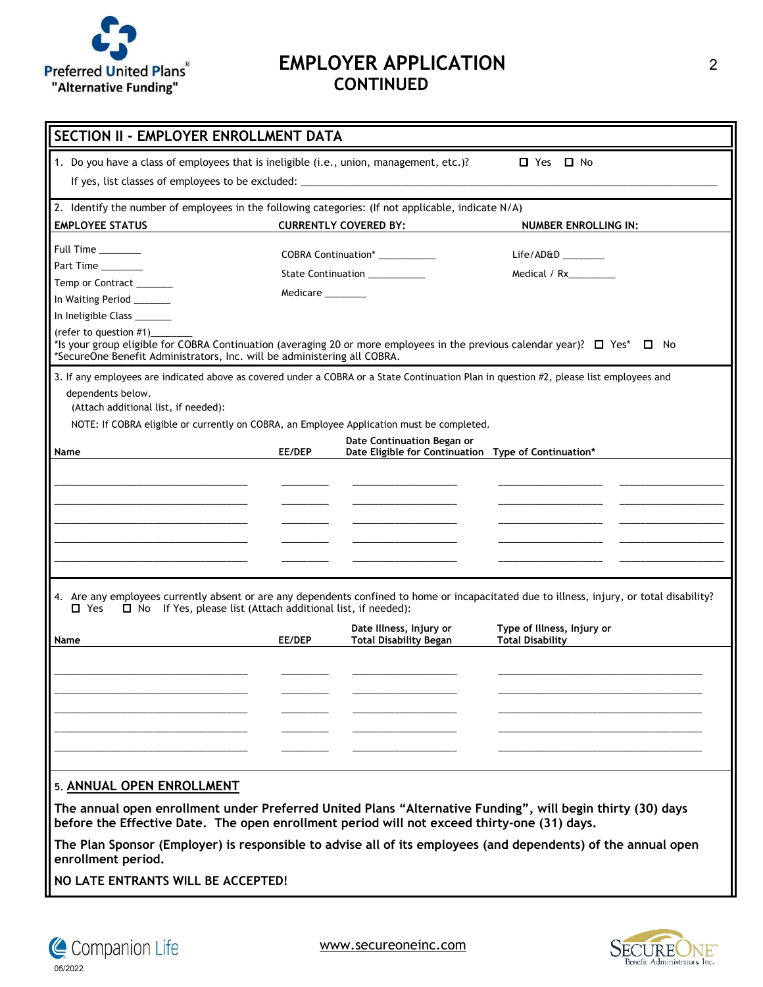

05/2022

Companion Life

# **EMPLOYER APPLICATION** 2 **CONTINUED**

| □ Yes □ No<br>1. Do you have a class of employees that is ineligible (i.e., union, management, etc.)?<br>If yes, list classes of employees to be excluded: ______________________________<br>2. Identify the number of employees in the following categories: (If not applicable, indicate N/A)<br><b>EMPLOYEE STATUS</b><br><b>CURRENTLY COVERED BY:</b><br><b>NUMBER ENROLLING IN:</b><br>Full Time ______<br>COBRA Continuation* ___________<br>Life/AD&D<br>Part Time<br>State Continuation __________<br>Medical / Rx_________<br>Temp or Contract ______<br>Medicare ________<br>In Waiting Period _______<br>In Ineligible Class ________<br>(refer to question #1)<br>*Is your group eligible for COBRA Continuation (averaging 20 or more employees in the previous calendar year)? $\Box$ Yes* $\Box$ No<br>*SecureOne Benefit Administrators, Inc. will be administering all COBRA.<br>3. If any employees are indicated above as covered under a COBRA or a State Continuation Plan in question #2, please list employees and<br>dependents below.<br>(Attach additional list, if needed):<br>NOTE: If COBRA eligible or currently on COBRA, an Employee Application must be completed.<br>Date Continuation Began or<br>EE/DEP<br>Date Eligible for Continuation Type of Continuation*<br>Name<br>4. Are any employees currently absent or are any dependents confined to home or incapacitated due to illness, injury, or total disability?<br>$\Box$ Yes<br>$\Box$ No If Yes, please list (Attach additional list, if needed):<br>Date Illness, Injury or<br>Type of Illness, Injury or<br><b>Total Disability</b><br>EE/DEP<br><b>Total Disability Began</b><br>Name<br>5. ANNUAL OPEN ENROLLMENT<br>The annual open enrollment under Preferred United Plans "Alternative Funding", will begin thirty (30) days<br>before the Effective Date. The open enrollment period will not exceed thirty-one (31) days.<br>The Plan Sponsor (Employer) is responsible to advise all of its employees (and dependents) of the annual open<br>enrollment period.<br>NO LATE ENTRANTS WILL BE ACCEPTED! | SECTION II - EMPLOYER ENROLLMENT DATA |  |  |  |  |
|-------------------------------------------------------------------------------------------------------------------------------------------------------------------------------------------------------------------------------------------------------------------------------------------------------------------------------------------------------------------------------------------------------------------------------------------------------------------------------------------------------------------------------------------------------------------------------------------------------------------------------------------------------------------------------------------------------------------------------------------------------------------------------------------------------------------------------------------------------------------------------------------------------------------------------------------------------------------------------------------------------------------------------------------------------------------------------------------------------------------------------------------------------------------------------------------------------------------------------------------------------------------------------------------------------------------------------------------------------------------------------------------------------------------------------------------------------------------------------------------------------------------------------------------------------------------------------------------------------------------------------------------------------------------------------------------------------------------------------------------------------------------------------------------------------------------------------------------------------------------------------------------------------------------------------------------------------------------------------------------------------------------------------------------------------------------------------------------------------------|---------------------------------------|--|--|--|--|
|                                                                                                                                                                                                                                                                                                                                                                                                                                                                                                                                                                                                                                                                                                                                                                                                                                                                                                                                                                                                                                                                                                                                                                                                                                                                                                                                                                                                                                                                                                                                                                                                                                                                                                                                                                                                                                                                                                                                                                                                                                                                                                             |                                       |  |  |  |  |
|                                                                                                                                                                                                                                                                                                                                                                                                                                                                                                                                                                                                                                                                                                                                                                                                                                                                                                                                                                                                                                                                                                                                                                                                                                                                                                                                                                                                                                                                                                                                                                                                                                                                                                                                                                                                                                                                                                                                                                                                                                                                                                             |                                       |  |  |  |  |
|                                                                                                                                                                                                                                                                                                                                                                                                                                                                                                                                                                                                                                                                                                                                                                                                                                                                                                                                                                                                                                                                                                                                                                                                                                                                                                                                                                                                                                                                                                                                                                                                                                                                                                                                                                                                                                                                                                                                                                                                                                                                                                             |                                       |  |  |  |  |
|                                                                                                                                                                                                                                                                                                                                                                                                                                                                                                                                                                                                                                                                                                                                                                                                                                                                                                                                                                                                                                                                                                                                                                                                                                                                                                                                                                                                                                                                                                                                                                                                                                                                                                                                                                                                                                                                                                                                                                                                                                                                                                             |                                       |  |  |  |  |
|                                                                                                                                                                                                                                                                                                                                                                                                                                                                                                                                                                                                                                                                                                                                                                                                                                                                                                                                                                                                                                                                                                                                                                                                                                                                                                                                                                                                                                                                                                                                                                                                                                                                                                                                                                                                                                                                                                                                                                                                                                                                                                             |                                       |  |  |  |  |
|                                                                                                                                                                                                                                                                                                                                                                                                                                                                                                                                                                                                                                                                                                                                                                                                                                                                                                                                                                                                                                                                                                                                                                                                                                                                                                                                                                                                                                                                                                                                                                                                                                                                                                                                                                                                                                                                                                                                                                                                                                                                                                             |                                       |  |  |  |  |
|                                                                                                                                                                                                                                                                                                                                                                                                                                                                                                                                                                                                                                                                                                                                                                                                                                                                                                                                                                                                                                                                                                                                                                                                                                                                                                                                                                                                                                                                                                                                                                                                                                                                                                                                                                                                                                                                                                                                                                                                                                                                                                             |                                       |  |  |  |  |
|                                                                                                                                                                                                                                                                                                                                                                                                                                                                                                                                                                                                                                                                                                                                                                                                                                                                                                                                                                                                                                                                                                                                                                                                                                                                                                                                                                                                                                                                                                                                                                                                                                                                                                                                                                                                                                                                                                                                                                                                                                                                                                             |                                       |  |  |  |  |
|                                                                                                                                                                                                                                                                                                                                                                                                                                                                                                                                                                                                                                                                                                                                                                                                                                                                                                                                                                                                                                                                                                                                                                                                                                                                                                                                                                                                                                                                                                                                                                                                                                                                                                                                                                                                                                                                                                                                                                                                                                                                                                             |                                       |  |  |  |  |
|                                                                                                                                                                                                                                                                                                                                                                                                                                                                                                                                                                                                                                                                                                                                                                                                                                                                                                                                                                                                                                                                                                                                                                                                                                                                                                                                                                                                                                                                                                                                                                                                                                                                                                                                                                                                                                                                                                                                                                                                                                                                                                             |                                       |  |  |  |  |
|                                                                                                                                                                                                                                                                                                                                                                                                                                                                                                                                                                                                                                                                                                                                                                                                                                                                                                                                                                                                                                                                                                                                                                                                                                                                                                                                                                                                                                                                                                                                                                                                                                                                                                                                                                                                                                                                                                                                                                                                                                                                                                             |                                       |  |  |  |  |
|                                                                                                                                                                                                                                                                                                                                                                                                                                                                                                                                                                                                                                                                                                                                                                                                                                                                                                                                                                                                                                                                                                                                                                                                                                                                                                                                                                                                                                                                                                                                                                                                                                                                                                                                                                                                                                                                                                                                                                                                                                                                                                             |                                       |  |  |  |  |
|                                                                                                                                                                                                                                                                                                                                                                                                                                                                                                                                                                                                                                                                                                                                                                                                                                                                                                                                                                                                                                                                                                                                                                                                                                                                                                                                                                                                                                                                                                                                                                                                                                                                                                                                                                                                                                                                                                                                                                                                                                                                                                             |                                       |  |  |  |  |
|                                                                                                                                                                                                                                                                                                                                                                                                                                                                                                                                                                                                                                                                                                                                                                                                                                                                                                                                                                                                                                                                                                                                                                                                                                                                                                                                                                                                                                                                                                                                                                                                                                                                                                                                                                                                                                                                                                                                                                                                                                                                                                             |                                       |  |  |  |  |
|                                                                                                                                                                                                                                                                                                                                                                                                                                                                                                                                                                                                                                                                                                                                                                                                                                                                                                                                                                                                                                                                                                                                                                                                                                                                                                                                                                                                                                                                                                                                                                                                                                                                                                                                                                                                                                                                                                                                                                                                                                                                                                             |                                       |  |  |  |  |
|                                                                                                                                                                                                                                                                                                                                                                                                                                                                                                                                                                                                                                                                                                                                                                                                                                                                                                                                                                                                                                                                                                                                                                                                                                                                                                                                                                                                                                                                                                                                                                                                                                                                                                                                                                                                                                                                                                                                                                                                                                                                                                             |                                       |  |  |  |  |
|                                                                                                                                                                                                                                                                                                                                                                                                                                                                                                                                                                                                                                                                                                                                                                                                                                                                                                                                                                                                                                                                                                                                                                                                                                                                                                                                                                                                                                                                                                                                                                                                                                                                                                                                                                                                                                                                                                                                                                                                                                                                                                             |                                       |  |  |  |  |
|                                                                                                                                                                                                                                                                                                                                                                                                                                                                                                                                                                                                                                                                                                                                                                                                                                                                                                                                                                                                                                                                                                                                                                                                                                                                                                                                                                                                                                                                                                                                                                                                                                                                                                                                                                                                                                                                                                                                                                                                                                                                                                             |                                       |  |  |  |  |
|                                                                                                                                                                                                                                                                                                                                                                                                                                                                                                                                                                                                                                                                                                                                                                                                                                                                                                                                                                                                                                                                                                                                                                                                                                                                                                                                                                                                                                                                                                                                                                                                                                                                                                                                                                                                                                                                                                                                                                                                                                                                                                             |                                       |  |  |  |  |
|                                                                                                                                                                                                                                                                                                                                                                                                                                                                                                                                                                                                                                                                                                                                                                                                                                                                                                                                                                                                                                                                                                                                                                                                                                                                                                                                                                                                                                                                                                                                                                                                                                                                                                                                                                                                                                                                                                                                                                                                                                                                                                             |                                       |  |  |  |  |
|                                                                                                                                                                                                                                                                                                                                                                                                                                                                                                                                                                                                                                                                                                                                                                                                                                                                                                                                                                                                                                                                                                                                                                                                                                                                                                                                                                                                                                                                                                                                                                                                                                                                                                                                                                                                                                                                                                                                                                                                                                                                                                             |                                       |  |  |  |  |
|                                                                                                                                                                                                                                                                                                                                                                                                                                                                                                                                                                                                                                                                                                                                                                                                                                                                                                                                                                                                                                                                                                                                                                                                                                                                                                                                                                                                                                                                                                                                                                                                                                                                                                                                                                                                                                                                                                                                                                                                                                                                                                             |                                       |  |  |  |  |
|                                                                                                                                                                                                                                                                                                                                                                                                                                                                                                                                                                                                                                                                                                                                                                                                                                                                                                                                                                                                                                                                                                                                                                                                                                                                                                                                                                                                                                                                                                                                                                                                                                                                                                                                                                                                                                                                                                                                                                                                                                                                                                             |                                       |  |  |  |  |
|                                                                                                                                                                                                                                                                                                                                                                                                                                                                                                                                                                                                                                                                                                                                                                                                                                                                                                                                                                                                                                                                                                                                                                                                                                                                                                                                                                                                                                                                                                                                                                                                                                                                                                                                                                                                                                                                                                                                                                                                                                                                                                             |                                       |  |  |  |  |
|                                                                                                                                                                                                                                                                                                                                                                                                                                                                                                                                                                                                                                                                                                                                                                                                                                                                                                                                                                                                                                                                                                                                                                                                                                                                                                                                                                                                                                                                                                                                                                                                                                                                                                                                                                                                                                                                                                                                                                                                                                                                                                             |                                       |  |  |  |  |
|                                                                                                                                                                                                                                                                                                                                                                                                                                                                                                                                                                                                                                                                                                                                                                                                                                                                                                                                                                                                                                                                                                                                                                                                                                                                                                                                                                                                                                                                                                                                                                                                                                                                                                                                                                                                                                                                                                                                                                                                                                                                                                             |                                       |  |  |  |  |
|                                                                                                                                                                                                                                                                                                                                                                                                                                                                                                                                                                                                                                                                                                                                                                                                                                                                                                                                                                                                                                                                                                                                                                                                                                                                                                                                                                                                                                                                                                                                                                                                                                                                                                                                                                                                                                                                                                                                                                                                                                                                                                             |                                       |  |  |  |  |
|                                                                                                                                                                                                                                                                                                                                                                                                                                                                                                                                                                                                                                                                                                                                                                                                                                                                                                                                                                                                                                                                                                                                                                                                                                                                                                                                                                                                                                                                                                                                                                                                                                                                                                                                                                                                                                                                                                                                                                                                                                                                                                             |                                       |  |  |  |  |
|                                                                                                                                                                                                                                                                                                                                                                                                                                                                                                                                                                                                                                                                                                                                                                                                                                                                                                                                                                                                                                                                                                                                                                                                                                                                                                                                                                                                                                                                                                                                                                                                                                                                                                                                                                                                                                                                                                                                                                                                                                                                                                             |                                       |  |  |  |  |
|                                                                                                                                                                                                                                                                                                                                                                                                                                                                                                                                                                                                                                                                                                                                                                                                                                                                                                                                                                                                                                                                                                                                                                                                                                                                                                                                                                                                                                                                                                                                                                                                                                                                                                                                                                                                                                                                                                                                                                                                                                                                                                             |                                       |  |  |  |  |
|                                                                                                                                                                                                                                                                                                                                                                                                                                                                                                                                                                                                                                                                                                                                                                                                                                                                                                                                                                                                                                                                                                                                                                                                                                                                                                                                                                                                                                                                                                                                                                                                                                                                                                                                                                                                                                                                                                                                                                                                                                                                                                             |                                       |  |  |  |  |
|                                                                                                                                                                                                                                                                                                                                                                                                                                                                                                                                                                                                                                                                                                                                                                                                                                                                                                                                                                                                                                                                                                                                                                                                                                                                                                                                                                                                                                                                                                                                                                                                                                                                                                                                                                                                                                                                                                                                                                                                                                                                                                             |                                       |  |  |  |  |



www.secureoneinc.com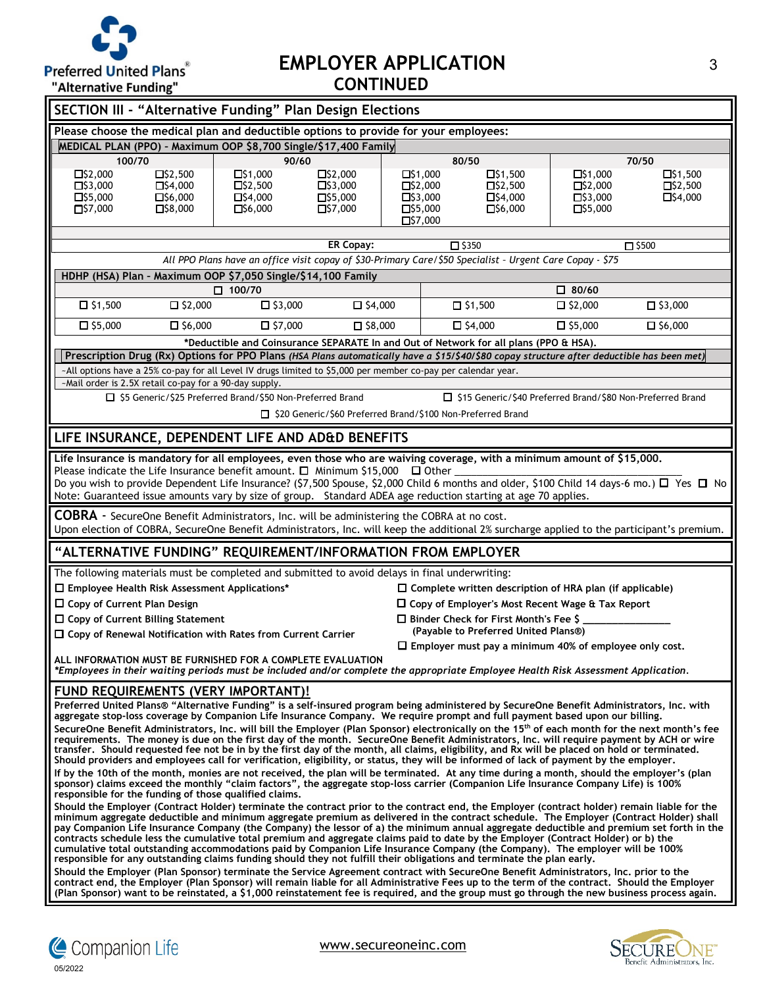

## **EMPLOYER APPLICATION** 3 **CONTINUED**

| ARCHIQUVC I GHAINS<br><b>SECTION III - "Alternative Funding" Plan Design Elections</b>                                                                                                                                                                                                                                                                                                                                                                                                                                                                                                                                                                                                                                                                                                                                              |                                                                                                                                                                                 |                                                                            |                                                                                        |                                                                                                          |                                                                      |                                                    |
|-------------------------------------------------------------------------------------------------------------------------------------------------------------------------------------------------------------------------------------------------------------------------------------------------------------------------------------------------------------------------------------------------------------------------------------------------------------------------------------------------------------------------------------------------------------------------------------------------------------------------------------------------------------------------------------------------------------------------------------------------------------------------------------------------------------------------------------|---------------------------------------------------------------------------------------------------------------------------------------------------------------------------------|----------------------------------------------------------------------------|----------------------------------------------------------------------------------------|----------------------------------------------------------------------------------------------------------|----------------------------------------------------------------------|----------------------------------------------------|
|                                                                                                                                                                                                                                                                                                                                                                                                                                                                                                                                                                                                                                                                                                                                                                                                                                     |                                                                                                                                                                                 |                                                                            |                                                                                        |                                                                                                          |                                                                      |                                                    |
| Please choose the medical plan and deductible options to provide for your employees:<br>MEDICAL PLAN (PPO) - Maximum OOP \$8,700 Single/\$17,400 Family                                                                                                                                                                                                                                                                                                                                                                                                                                                                                                                                                                                                                                                                             |                                                                                                                                                                                 |                                                                            |                                                                                        |                                                                                                          |                                                                      |                                                    |
| 100/70                                                                                                                                                                                                                                                                                                                                                                                                                                                                                                                                                                                                                                                                                                                                                                                                                              | 90/60                                                                                                                                                                           |                                                                            |                                                                                        | 80/50                                                                                                    |                                                                      | 70/50                                              |
| $\Box$ \$2,000<br>$\Box$ \$2,500<br>$\Box$ \$3,000<br>$\Box$ \$4,000<br>$\Box$ \$5,000<br>$\Box$ \$6,000<br>$\square$ \$7,000<br>$\Box$ \$8,000                                                                                                                                                                                                                                                                                                                                                                                                                                                                                                                                                                                                                                                                                     | $\Box$ \$1,000<br>$\Box$ \$2,500<br>$\Box$ \$4,000<br>$\Box$ \$6,000                                                                                                            | $\square$ \$2,000<br>$\square$ \$3,000<br>$\Box$ \$5,000<br>$\Box$ \$7,000 | $\Box$ \$1,000<br>$\Box$ \$2,000<br>$\Box$ \$3,000<br>$\Box$ \$5,000<br>$\Box$ \$7,000 | $\Box$ \$1,500<br>$\Box$ \$2,500<br>$\Box$ \$4,000<br>$\Box$ \$6,000                                     | $\Box$ \$1,000<br>$\Box$ \$2,000<br>$\Box$ \$3,000<br>$\Box$ \$5,000 | $\Box$ \$1,500<br>$\Box$ \$2,500<br>$\Box$ \$4,000 |
|                                                                                                                                                                                                                                                                                                                                                                                                                                                                                                                                                                                                                                                                                                                                                                                                                                     |                                                                                                                                                                                 | <b>ER Copay:</b>                                                           |                                                                                        | $\square$ \$350                                                                                          |                                                                      | $\square$ \$500                                    |
|                                                                                                                                                                                                                                                                                                                                                                                                                                                                                                                                                                                                                                                                                                                                                                                                                                     |                                                                                                                                                                                 |                                                                            |                                                                                        | All PPO Plans have an office visit copay of \$30-Primary Care/\$50 Specialist - Urgent Care Copay - \$75 |                                                                      |                                                    |
| HDHP (HSA) Plan - Maximum OOP \$7,050 Single/\$14,100 Family                                                                                                                                                                                                                                                                                                                                                                                                                                                                                                                                                                                                                                                                                                                                                                        |                                                                                                                                                                                 |                                                                            |                                                                                        |                                                                                                          |                                                                      |                                                    |
|                                                                                                                                                                                                                                                                                                                                                                                                                                                                                                                                                                                                                                                                                                                                                                                                                                     | $\Box$ 100/70                                                                                                                                                                   |                                                                            |                                                                                        |                                                                                                          | $\square$ 80/60                                                      |                                                    |
| $\Box$ \$1,500<br>$\Box$ \$2,000                                                                                                                                                                                                                                                                                                                                                                                                                                                                                                                                                                                                                                                                                                                                                                                                    | $\Box$ \$3,000                                                                                                                                                                  | $\Box$ \$4,000                                                             |                                                                                        | $\Box$ \$1,500                                                                                           | $\square$ \$2,000                                                    | $\square$ \$3,000                                  |
| $\square$ \$5,000<br>$\square$ \$6,000                                                                                                                                                                                                                                                                                                                                                                                                                                                                                                                                                                                                                                                                                                                                                                                              | $\Box$ \$7,000                                                                                                                                                                  | $\square$ \$8,000                                                          |                                                                                        | $\Box$ \$4,000                                                                                           | $\square$ \$5,000                                                    | $\square$ \$6,000                                  |
|                                                                                                                                                                                                                                                                                                                                                                                                                                                                                                                                                                                                                                                                                                                                                                                                                                     |                                                                                                                                                                                 |                                                                            |                                                                                        | *Deductible and Coinsurance SEPARATE In and Out of Network for all plans (PPO & HSA).                    |                                                                      |                                                    |
| Prescription Drug (Rx) Options for PPO Plans (HSA Plans automatically have a \$15/\$40/\$80 copay structure after deductible has been met)<br>-All options have a 25% co-pay for all Level IV drugs limited to \$5,000 per member co-pay per calendar year.                                                                                                                                                                                                                                                                                                                                                                                                                                                                                                                                                                         |                                                                                                                                                                                 |                                                                            |                                                                                        |                                                                                                          |                                                                      |                                                    |
| -Mail order is 2.5X retail co-pay for a 90-day supply.                                                                                                                                                                                                                                                                                                                                                                                                                                                                                                                                                                                                                                                                                                                                                                              |                                                                                                                                                                                 |                                                                            |                                                                                        |                                                                                                          |                                                                      |                                                    |
| □ \$5 Generic/\$25 Preferred Brand/\$50 Non-Preferred Brand                                                                                                                                                                                                                                                                                                                                                                                                                                                                                                                                                                                                                                                                                                                                                                         |                                                                                                                                                                                 |                                                                            |                                                                                        | □ \$15 Generic/\$40 Preferred Brand/\$80 Non-Preferred Brand                                             |                                                                      |                                                    |
|                                                                                                                                                                                                                                                                                                                                                                                                                                                                                                                                                                                                                                                                                                                                                                                                                                     |                                                                                                                                                                                 |                                                                            |                                                                                        | □ \$20 Generic/\$60 Preferred Brand/\$100 Non-Preferred Brand                                            |                                                                      |                                                    |
| LIFE INSURANCE, DEPENDENT LIFE AND AD&D BENEFITS                                                                                                                                                                                                                                                                                                                                                                                                                                                                                                                                                                                                                                                                                                                                                                                    |                                                                                                                                                                                 |                                                                            |                                                                                        |                                                                                                          |                                                                      |                                                    |
| Please indicate the Life Insurance benefit amount. $\square$ Minimum \$15,000 $\square$ Other<br>Do you wish to provide Dependent Life Insurance? (\$7,500 Spouse, \$2,000 Child 6 months and older, \$100 Child 14 days-6 mo.) □ Yes □ No<br>Note: Guaranteed issue amounts vary by size of group. Standard ADEA age reduction starting at age 70 applies.<br>COBRA - SecureOne Benefit Administrators, Inc. will be administering the COBRA at no cost.                                                                                                                                                                                                                                                                                                                                                                           |                                                                                                                                                                                 |                                                                            |                                                                                        |                                                                                                          |                                                                      |                                                    |
| Upon election of COBRA, SecureOne Benefit Administrators, Inc. will keep the additional 2% surcharge applied to the participant's premium.                                                                                                                                                                                                                                                                                                                                                                                                                                                                                                                                                                                                                                                                                          |                                                                                                                                                                                 |                                                                            |                                                                                        |                                                                                                          |                                                                      |                                                    |
| "ALTERNATIVE FUNDING" REQUIREMENT/INFORMATION FROM EMPLOYER                                                                                                                                                                                                                                                                                                                                                                                                                                                                                                                                                                                                                                                                                                                                                                         |                                                                                                                                                                                 |                                                                            |                                                                                        |                                                                                                          |                                                                      |                                                    |
| The following materials must be completed and submitted to avoid delays in final underwriting:                                                                                                                                                                                                                                                                                                                                                                                                                                                                                                                                                                                                                                                                                                                                      |                                                                                                                                                                                 |                                                                            |                                                                                        |                                                                                                          |                                                                      |                                                    |
| □ Employee Health Risk Assessment Applications*                                                                                                                                                                                                                                                                                                                                                                                                                                                                                                                                                                                                                                                                                                                                                                                     |                                                                                                                                                                                 |                                                                            |                                                                                        | $\square$ Complete written description of HRA plan (if applicable)                                       |                                                                      |                                                    |
| $\square$ Copy of Current Plan Design                                                                                                                                                                                                                                                                                                                                                                                                                                                                                                                                                                                                                                                                                                                                                                                               |                                                                                                                                                                                 |                                                                            |                                                                                        | $\Box$ Copy of Employer's Most Recent Wage & Tax Report                                                  |                                                                      |                                                    |
| $\Box$ Copy of Current Billing Statement                                                                                                                                                                                                                                                                                                                                                                                                                                                                                                                                                                                                                                                                                                                                                                                            |                                                                                                                                                                                 |                                                                            |                                                                                        | $\Box$ Binder Check for First Month's Fee \$                                                             |                                                                      |                                                    |
|                                                                                                                                                                                                                                                                                                                                                                                                                                                                                                                                                                                                                                                                                                                                                                                                                                     | (Payable to Preferred United Plans®)<br>$\Box$ Copy of Renewal Notification with Rates from Current Carrier<br>$\square$ Employer must pay a minimum 40% of employee only cost, |                                                                            |                                                                                        |                                                                                                          |                                                                      |                                                    |
| ALL INFORMATION MUST BE FURNISHED FOR A COMPLETE EVALUATION<br>*Employees in their waiting periods must be included and/or complete the appropriate Employee Health Risk Assessment Application.                                                                                                                                                                                                                                                                                                                                                                                                                                                                                                                                                                                                                                    |                                                                                                                                                                                 |                                                                            |                                                                                        |                                                                                                          |                                                                      |                                                    |
| FUND REQUIREMENTS (VERY IMPORTANT)!<br>Preferred United Plans® "Alternative Funding" is a self-insured program being administered by SecureOne Benefit Administrators, Inc. with<br>aggregate stop-loss coverage by Companion Life Insurance Company. We require prompt and full payment based upon our billing.<br>SecureOne Benefit Administrators, Inc, will bill the Employer (Plan Sponsor) electronically on the 15 <sup>th</sup> of each month for the next month's fee<br>requirements. The money is due on the first day of the month. SecureOne Benefit Administrators, Inc. will require payment by ACH or wire<br>transfer. Should requested fee not be in by the first day of the month, all claims, eligibility, and Rx will be placed on hold or terminated.                                                         |                                                                                                                                                                                 |                                                                            |                                                                                        |                                                                                                          |                                                                      |                                                    |
| Should providers and employees call for verification, eligibility, or status, they will be informed of lack of payment by the employer.<br>If by the 10th of the month, monies are not received, the plan will be terminated. At any time during a month, should the employer's (plan<br>sponsor) claims exceed the monthly "claim factors", the aggregate stop-loss carrier (Companion Life Insurance Company Life) is 100%<br>responsible for the funding of those qualified claims.                                                                                                                                                                                                                                                                                                                                              |                                                                                                                                                                                 |                                                                            |                                                                                        |                                                                                                          |                                                                      |                                                    |
| Should the Employer (Contract Holder) terminate the contract prior to the contract end, the Employer (contract holder) remain liable for the<br>minimum aggregate deductible and minimum aggregate premium as delivered in the contract schedule. The Employer (Contract Holder) shall<br>pay Companion Life Insurance Company (the Company) the lessor of a) the minimum annual aggregate deductible and premium set forth in the<br>contracts schedule less the cumulative total premium and aggregate claims paid to date by the Employer (Contract Holder) or b) the<br>cumulative total outstanding accommodations paid by Companion Life Insurance Company (the Company). The employer will be 100%<br>responsible for any outstanding claims funding should they not fulfill their obligations and terminate the plan early. |                                                                                                                                                                                 |                                                                            |                                                                                        |                                                                                                          |                                                                      |                                                    |
| Should the Employer (Plan Sponsor) terminate the Service Agreement contract with SecureOne Benefit Administrators, Inc. prior to the<br>contract end, the Employer (Plan Sponsor) will remain liable for all Administrative Fees up to the term of the contract. Should the Employer<br>(Plan Sponsor) want to be reinstated, a \$1,000 reinstatement fee is required, and the group must go through the new business process again.                                                                                                                                                                                                                                                                                                                                                                                                |                                                                                                                                                                                 |                                                                            |                                                                                        |                                                                                                          |                                                                      |                                                    |



Companion Life

05/2022

www.secureoneinc.com